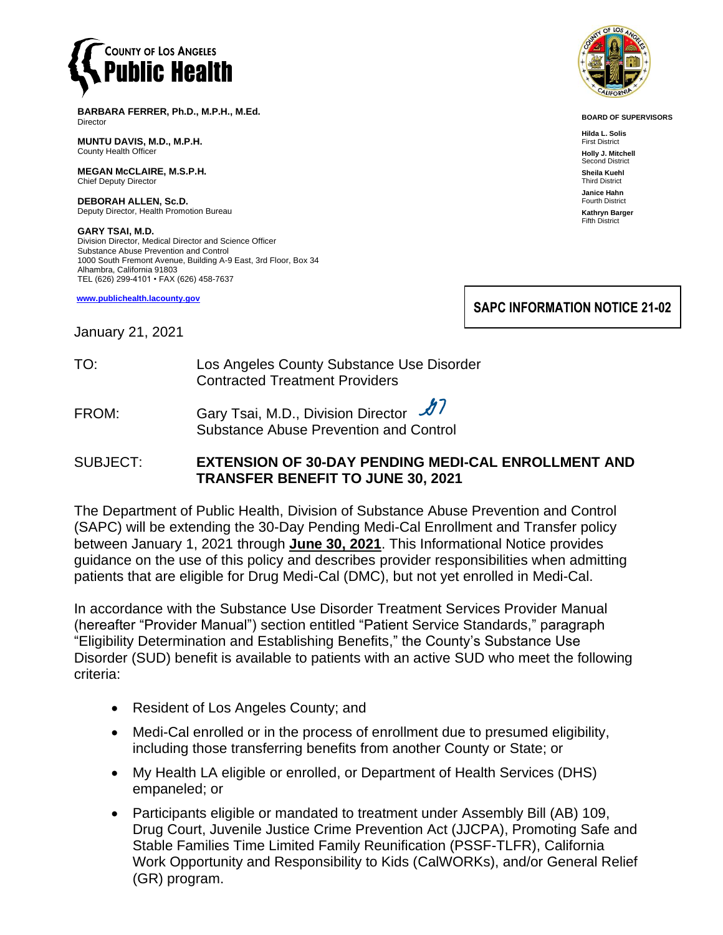

**BARBARA FERRER, Ph.D., M.P.H., M.Ed.** Director

**MUNTU DAVIS, M.D., M.P.H.** County Health Officer

**MEGAN McCLAIRE, M.S.P.H.** Chief Deputy Director

**DEBORAH ALLEN, Sc.D.** Deputy Director, Health Promotion Bureau

**GARY TSAI, M.D.** Division Director, Medical Director and Science Officer Substance Abuse Prevention and Control 1000 South Fremont Avenue, Building A-9 East, 3rd Floor, Box 34 Alhambra, California 91803 TEL (626) 299-4101 • FAX (626) 458-7637

**[www.publichealth.lacounty.gov](http://www.publichealth.lacounty.gov/)**

January 21, 2021

TO: Los Angeles County Substance Use Disorder Contracted Treatment Providers

FROM: Gary Tsai, M.D., Division Director -Substance Abuse Prevention and Control

#### SUBJECT: **EXTENSION OF 30-DAY PENDING MEDI-CAL ENROLLMENT AND TRANSFER BENEFIT TO JUNE 30, 2021**

The Department of Public Health, Division of Substance Abuse Prevention and Control (SAPC) will be extending the 30-Day Pending Medi-Cal Enrollment and Transfer policy between January 1, 2021 through **June 30, 2021**. This Informational Notice provides guidance on the use of this policy and describes provider responsibilities when admitting patients that are eligible for Drug Medi-Cal (DMC), but not yet enrolled in Medi-Cal.

In accordance with the Substance Use Disorder Treatment Services Provider Manual (hereafter "Provider Manual") section entitled "Patient Service Standards," paragraph "Eligibility Determination and Establishing Benefits," the County's Substance Use Disorder (SUD) benefit is available to patients with an active SUD who meet the following criteria:

- Resident of Los Angeles County; and
- Medi-Cal enrolled or in the process of enrollment due to presumed eligibility, including those transferring benefits from another County or State; or
- My Health LA eligible or enrolled, or Department of Health Services (DHS) empaneled; or
- Participants eligible or mandated to treatment under Assembly Bill (AB) 109, Drug Court, Juvenile Justice Crime Prevention Act (JJCPA), Promoting Safe and Stable Families Time Limited Family Reunification (PSSF-TLFR), California Work Opportunity and Responsibility to Kids (CalWORKs), and/or General Relief (GR) program.



**BOARD OF SUPERVISORS**

**Hilda L. Solis** First District **Holly J. Mitchell** Second District **Sheila Kuehl** Third District **Janice Hahn** Fourth District **Kathryn Barger** Fifth District

**SAPC INFORMATION NOTICE 21-02**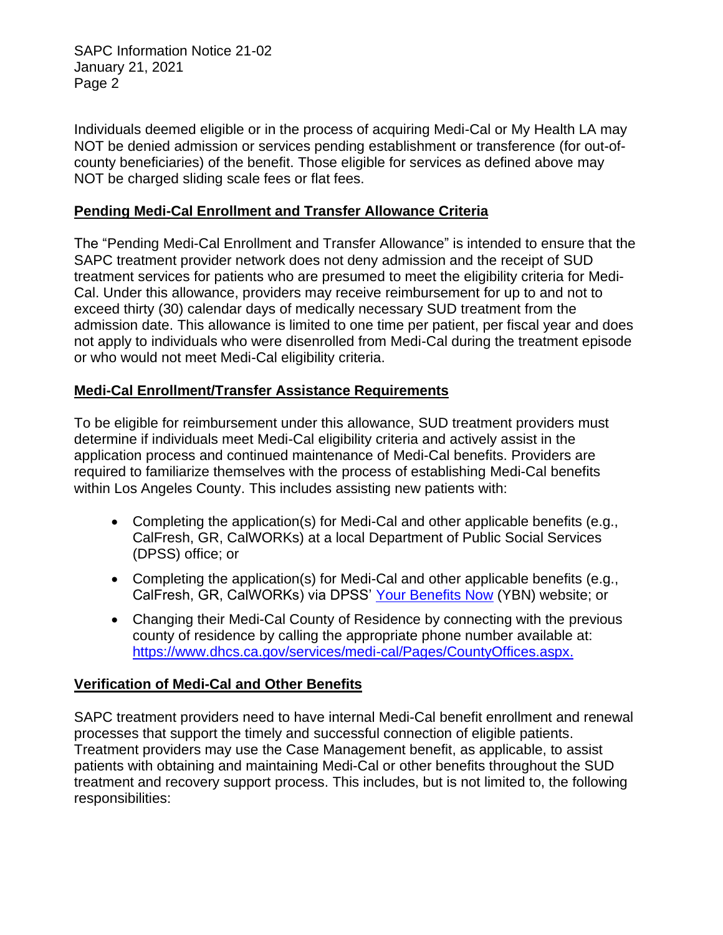SAPC Information Notice 21-02 January 21, 2021 Page 2

Individuals deemed eligible or in the process of acquiring Medi-Cal or My Health LA may NOT be denied admission or services pending establishment or transference (for out-ofcounty beneficiaries) of the benefit. Those eligible for services as defined above may NOT be charged sliding scale fees or flat fees.

### **Pending Medi-Cal Enrollment and Transfer Allowance Criteria**

The "Pending Medi-Cal Enrollment and Transfer Allowance" is intended to ensure that the SAPC treatment provider network does not deny admission and the receipt of SUD treatment services for patients who are presumed to meet the eligibility criteria for Medi-Cal. Under this allowance, providers may receive reimbursement for up to and not to exceed thirty (30) calendar days of medically necessary SUD treatment from the admission date. This allowance is limited to one time per patient, per fiscal year and does not apply to individuals who were disenrolled from Medi-Cal during the treatment episode or who would not meet Medi-Cal eligibility criteria.

# **Medi-Cal Enrollment/Transfer Assistance Requirements**

To be eligible for reimbursement under this allowance, SUD treatment providers must determine if individuals meet Medi-Cal eligibility criteria and actively assist in the application process and continued maintenance of Medi-Cal benefits. Providers are required to familiarize themselves with the process of establishing Medi-Cal benefits within Los Angeles County. This includes assisting new patients with:

- Completing the application(s) for Medi-Cal and other applicable benefits (e.g., CalFresh, GR, CalWORKs) at a local Department of Public Social Services (DPSS) office; or
- Completing the application(s) for Medi-Cal and other applicable benefits (e.g., CalFresh, GR, CalWORKs) via DPSS' [Your Benefits Now](https://www.yourbenefits.laclrs.org/ybn/Index.html) (YBN) website; or
- Changing their Medi-Cal County of Residence by connecting with the previous county of residence by calling the appropriate phone number available at: [https://www.dhcs.ca.gov/services/medi-cal/Pages/CountyOffices.aspx.](https://www.dhcs.ca.gov/services/medi-cal/Pages/CountyOffices.aspx)

# **Verification of Medi-Cal and Other Benefits**

SAPC treatment providers need to have internal Medi-Cal benefit enrollment and renewal processes that support the timely and successful connection of eligible patients. Treatment providers may use the Case Management benefit, as applicable, to assist patients with obtaining and maintaining Medi-Cal or other benefits throughout the SUD treatment and recovery support process. This includes, but is not limited to, the following responsibilities: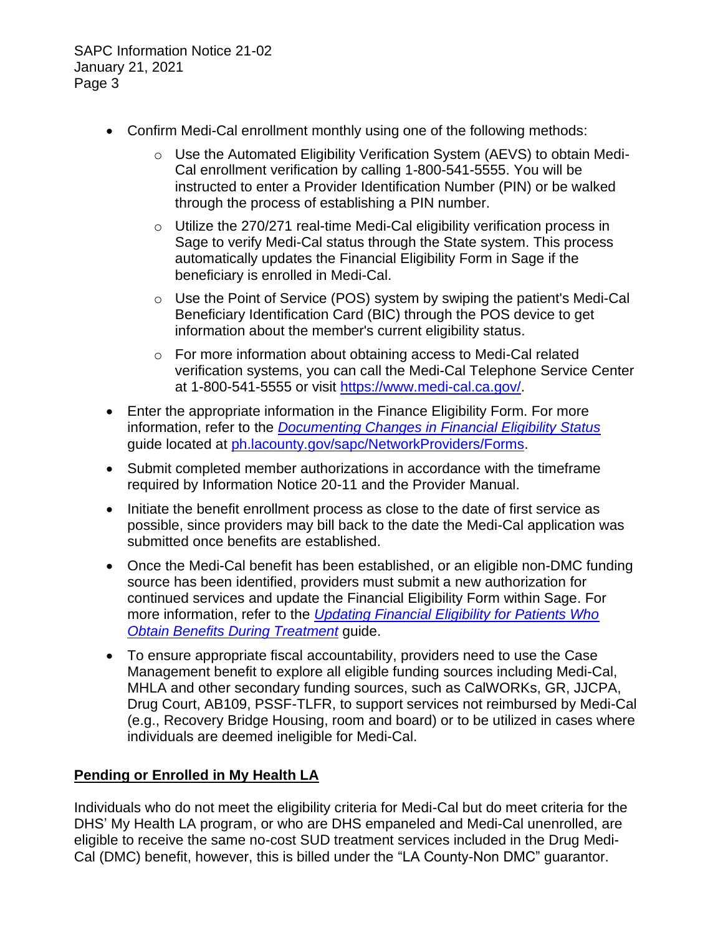SAPC Information Notice 21-02 January 21, 2021 Page 3

- Confirm Medi-Cal enrollment monthly using one of the following methods:
	- o Use the Automated Eligibility Verification System (AEVS) to obtain Medi-Cal enrollment verification by calling 1-800-541-5555. You will be instructed to enter a Provider Identification Number (PIN) or be walked through the process of establishing a PIN number.
	- $\circ$  Utilize the 270/271 real-time Medi-Cal eligibility verification process in Sage to verify Medi-Cal status through the State system. This process automatically updates the Financial Eligibility Form in Sage if the beneficiary is enrolled in Medi-Cal.
	- o Use the Point of Service (POS) system by swiping the patient's Medi-Cal Beneficiary Identification Card (BIC) through the POS device to get information about the member's current eligibility status.
	- o For more information about obtaining access to Medi-Cal related verification systems, you can call the Medi-Cal Telephone Service Center at 1-800-541-5555 or visit [https://www.medi-cal.ca.gov/.](https://www.medi-cal.ca.gov/)
- Enter the appropriate information in the Finance Eligibility Form. For more information, refer to the *[Documenting Changes in Financial Eligibility Status](http://ph.lacounty.gov/sapc/NetworkProviders/FinanceForms/FinancialEligibility/DocumentingChangesFinancialEligibilityStatus.pdf)* guide located at [ph.lacounty.gov/sapc/NetworkProviders/Forms.](http://ph.lacounty.gov/sapc/NetworkProviders/Forms.htm)
- Submit completed member authorizations in accordance with the timeframe required by Information Notice 20-11 and the Provider Manual.
- Initiate the benefit enrollment process as close to the date of first service as possible, since providers may bill back to the date the Medi-Cal application was submitted once benefits are established.
- Once the Medi-Cal benefit has been established, or an eligible non-DMC funding source has been identified, providers must submit a new authorization for continued services and update the Financial Eligibility Form within Sage. For more information, refer to the *[Updating Financial Eligibility for Patients Who](http://ph.lacounty.gov/sapc/NetworkProviders/FinanceForms/FinancialEligibility/UpdatingFinancialEligibilityPatientsWhoObtainBenefitsDuringTreatment.pdf)*  **[Obtain Benefits During Treatment](http://ph.lacounty.gov/sapc/NetworkProviders/FinanceForms/FinancialEligibility/UpdatingFinancialEligibilityPatientsWhoObtainBenefitsDuringTreatment.pdf) quide.**
- To ensure appropriate fiscal accountability, providers need to use the Case Management benefit to explore all eligible funding sources including Medi-Cal, MHLA and other secondary funding sources, such as CalWORKs, GR, JJCPA, Drug Court, AB109, PSSF-TLFR, to support services not reimbursed by Medi-Cal (e.g., Recovery Bridge Housing, room and board) or to be utilized in cases where individuals are deemed ineligible for Medi-Cal.

# **Pending or Enrolled in My Health LA**

Individuals who do not meet the eligibility criteria for Medi-Cal but do meet criteria for the DHS' My Health LA program, or who are DHS empaneled and Medi-Cal unenrolled, are eligible to receive the same no-cost SUD treatment services included in the Drug Medi-Cal (DMC) benefit, however, this is billed under the "LA County-Non DMC" guarantor.